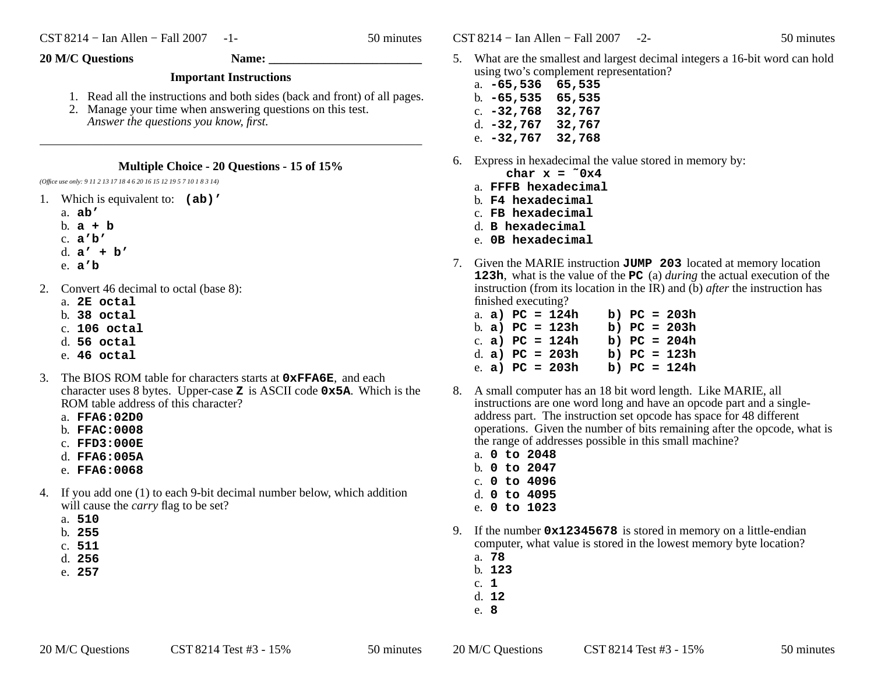$\text{CST } 8214 - \text{I}$ an Allen – Fall 2007 -2- 50 minutes

## **20 M/C Questions Name: \_\_\_\_\_\_\_\_\_\_\_\_\_\_\_\_\_\_\_\_\_\_\_\_\_**

## **Important Instructions**

- 1. Read all the instructions and both sides (back and front) of all pages.
- 2. Manage your time when answering questions on this test. *Answer the questions you know, first.*

## **Multiple Choice - 20 Questions - 15 of 15%**

*(Office use only: 9 11 2 13 17 18 4 6 20 16 15 12 19 5 7 10 1 8 3 14)*

- 1. Which is equivalent to: **(ab)'**
	- a. **ab'**
	- b. **a+b**
	- c. **<sup>a</sup>'b'**
	- d. **<sup>a</sup>' + b'**
	- e. **<sup>a</sup>'b**
- 2. Convert 46 decimal to octal (base 8):
	- a. **2E octal**
	- b. **38 octal**
	- c. **106 octal**
	- d. **56 octal**
	- e. **46 octal**
- 3. The BIOS ROM table for characters starts at **0xFFA6E**, and each character uses 8 bytes. Upper-case **<sup>Z</sup>** is ASCII code **0x5A**. Which is the ROM table address of this character?
	- a. **FFA6:02D0**
	- b. **FFAC:0008**
	- c. **FFD3:000E**
	- d. **FFA6:005A**
	- e. **FFA6:0068**
- 4. If you add one (1) to each 9-bit decimal number below, which additionwill cause the *carry* flag to be set?
	- a. **510**
	- b. **255**
	- c. **511**
	- d. **256**
	- e. **257**

5. What are the smallest and largest decimal integers a 16-bit word can holdusing two's complement representation?

| a. -65,536        | 65,535 |
|-------------------|--------|
| $b. -65, 535$     | 65,535 |
| c. -32,768        | 32,767 |
| d. -32,767        | 32,767 |
| e. <b>-32,767</b> | 32,768 |

- 6. Express in hexadecimal the value stored in memory by:
	- char  $x = 0x4$
	- a. **FFFB hexadecimal**b. **F4 hexadecimal**
	- c. **FB hexadecimal**
	- d. **<sup>B</sup> hexadecimal**
	- e. **0B hexadecimal**
- 7. Given the MARIE instruction **JUMP 203** located at memory location **123h**, what is the value of the **PC** (a) *during* the actual execution of the instruction (from its location in the IR) and (b) *after* the instruction has finished executing?

|  |  | a. a) $PC = 124h$ | b) $PC = 203h$ |  |
|--|--|-------------------|----------------|--|
|  |  | b. a) $PC = 123h$ | b) $PC = 203h$ |  |
|  |  | c. a) $PC = 124h$ | b) $PC = 204h$ |  |
|  |  | d. a) $PC = 203h$ | b) $PC = 123h$ |  |
|  |  | e. a) $PC = 203h$ | b) $PC = 124h$ |  |
|  |  |                   |                |  |

- 8. A small computer has an 18 bit word length. Like MARIE, all instructions are one word long and have an opcode part and a singleaddress part. The instruction set opcode has space for 48 different operations. Given the number of bits remaining after the opcode, what isthe range of addresses possible in this small machine?
	- a. **<sup>0</sup> to <sup>2048</sup>** b. **<sup>0</sup> to <sup>2047</sup>** c. **<sup>0</sup> to <sup>4096</sup>** d. **<sup>0</sup> to <sup>4095</sup>** e. **<sup>0</sup> to <sup>1023</sup>**
- 9. If the number **0x12345678** is stored in memory on a little-endian computer, what value is stored in the lowest memory byte location?
	- a. **78**
	- b. **123**
	- c. **1**
	- d. **12**
	- e. **8**

20 M/C Questions